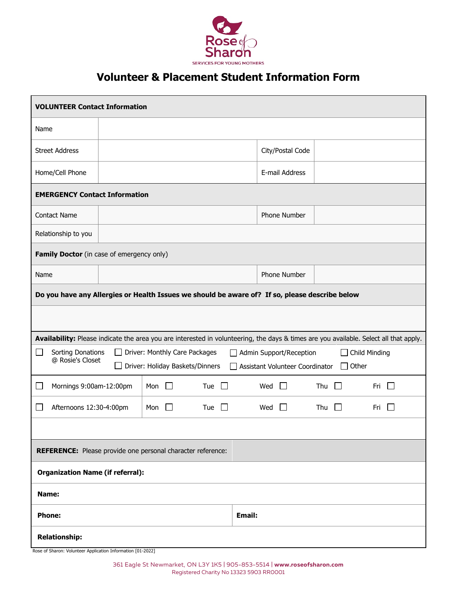

## **Volunteer & Placement Student Information Form**

| <b>VOLUNTEER Contact Information</b>                                                                                                                                                                                                               |  |                |        |                |                     |                |     |  |
|----------------------------------------------------------------------------------------------------------------------------------------------------------------------------------------------------------------------------------------------------|--|----------------|--------|----------------|---------------------|----------------|-----|--|
| Name                                                                                                                                                                                                                                               |  |                |        |                |                     |                |     |  |
| <b>Street Address</b>                                                                                                                                                                                                                              |  |                |        |                | City/Postal Code    |                |     |  |
| Home/Cell Phone                                                                                                                                                                                                                                    |  |                |        |                | E-mail Address      |                |     |  |
| <b>EMERGENCY Contact Information</b>                                                                                                                                                                                                               |  |                |        |                |                     |                |     |  |
| <b>Contact Name</b>                                                                                                                                                                                                                                |  |                |        |                | Phone Number        |                |     |  |
| Relationship to you                                                                                                                                                                                                                                |  |                |        |                |                     |                |     |  |
| Family Doctor (in case of emergency only)                                                                                                                                                                                                          |  |                |        |                |                     |                |     |  |
| Name                                                                                                                                                                                                                                               |  |                |        |                | Phone Number        |                |     |  |
| Do you have any Allergies or Health Issues we should be aware of? If so, please describe below                                                                                                                                                     |  |                |        |                |                     |                |     |  |
|                                                                                                                                                                                                                                                    |  |                |        |                |                     |                |     |  |
| Availability: Please indicate the area you are interested in volunteering, the days & times are you available. Select all that apply.                                                                                                              |  |                |        |                |                     |                |     |  |
| Sorting Donations<br>Driver: Monthly Care Packages<br>Admin Support/Reception<br>Child Minding<br>ΙI<br>$\mathcal{L}$<br>$\mathbf{I}$<br>@ Rosie's Closet<br>Driver: Holiday Baskets/Dinners<br>$\Box$<br>Other<br>Assistant Volunteer Coordinator |  |                |        |                |                     |                |     |  |
| Mornings 9:00am-12:00pm<br>$\mathcal{L}$                                                                                                                                                                                                           |  | Mon<br>$\perp$ | Tue    |                | Wed<br>$\mathbf{L}$ | Thu            | Fri |  |
| Afternoons 12:30-4:00pm<br>Mon<br>Tue<br>$\perp$<br>$\perp$<br>$\sim$                                                                                                                                                                              |  |                |        | Wed<br>$\perp$ | Thu<br>$\mathbf{L}$ | Fri<br>$\perp$ |     |  |
|                                                                                                                                                                                                                                                    |  |                |        |                |                     |                |     |  |
| REFERENCE: Please provide one personal character reference:                                                                                                                                                                                        |  |                |        |                |                     |                |     |  |
| <b>Organization Name (if referral):</b>                                                                                                                                                                                                            |  |                |        |                |                     |                |     |  |
| Name:                                                                                                                                                                                                                                              |  |                |        |                |                     |                |     |  |
| <b>Phone:</b>                                                                                                                                                                                                                                      |  |                | Email: |                |                     |                |     |  |
| <b>Relationship:</b>                                                                                                                                                                                                                               |  |                |        |                |                     |                |     |  |

Rose of Sharon: Volunteer Application Information [01-2022]